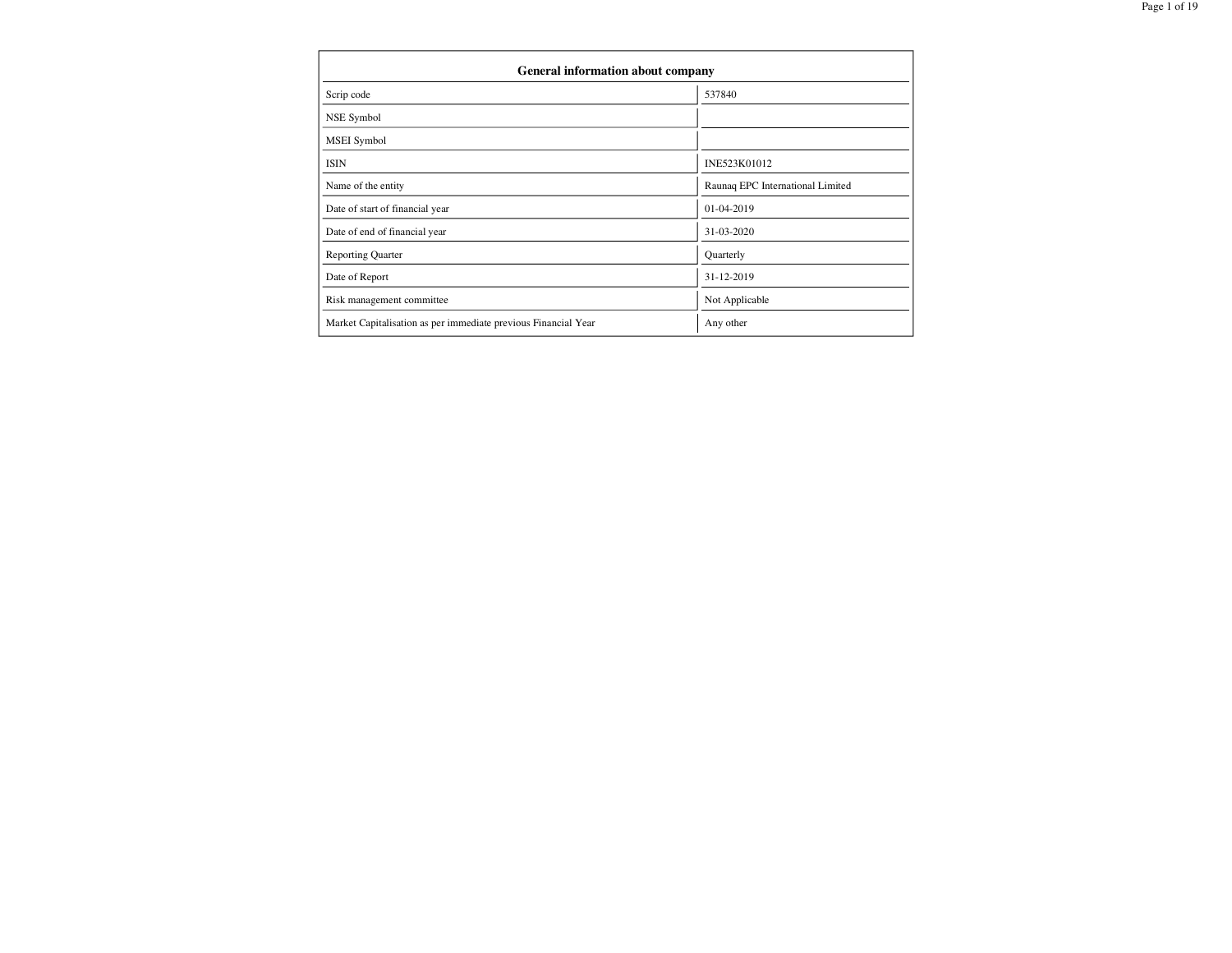| General information about company                              |                                  |
|----------------------------------------------------------------|----------------------------------|
| Scrip code                                                     | 537840                           |
| NSE Symbol                                                     |                                  |
| <b>MSEI</b> Symbol                                             |                                  |
| <b>ISIN</b>                                                    | INE523K01012                     |
| Name of the entity                                             | Raunaq EPC International Limited |
| Date of start of financial year                                | 01-04-2019                       |
| Date of end of financial year                                  | 31-03-2020                       |
| <b>Reporting Quarter</b>                                       | Quarterly                        |
| Date of Report                                                 | 31-12-2019                       |
| Risk management committee                                      | Not Applicable                   |
| Market Capitalisation as per immediate previous Financial Year | Any other                        |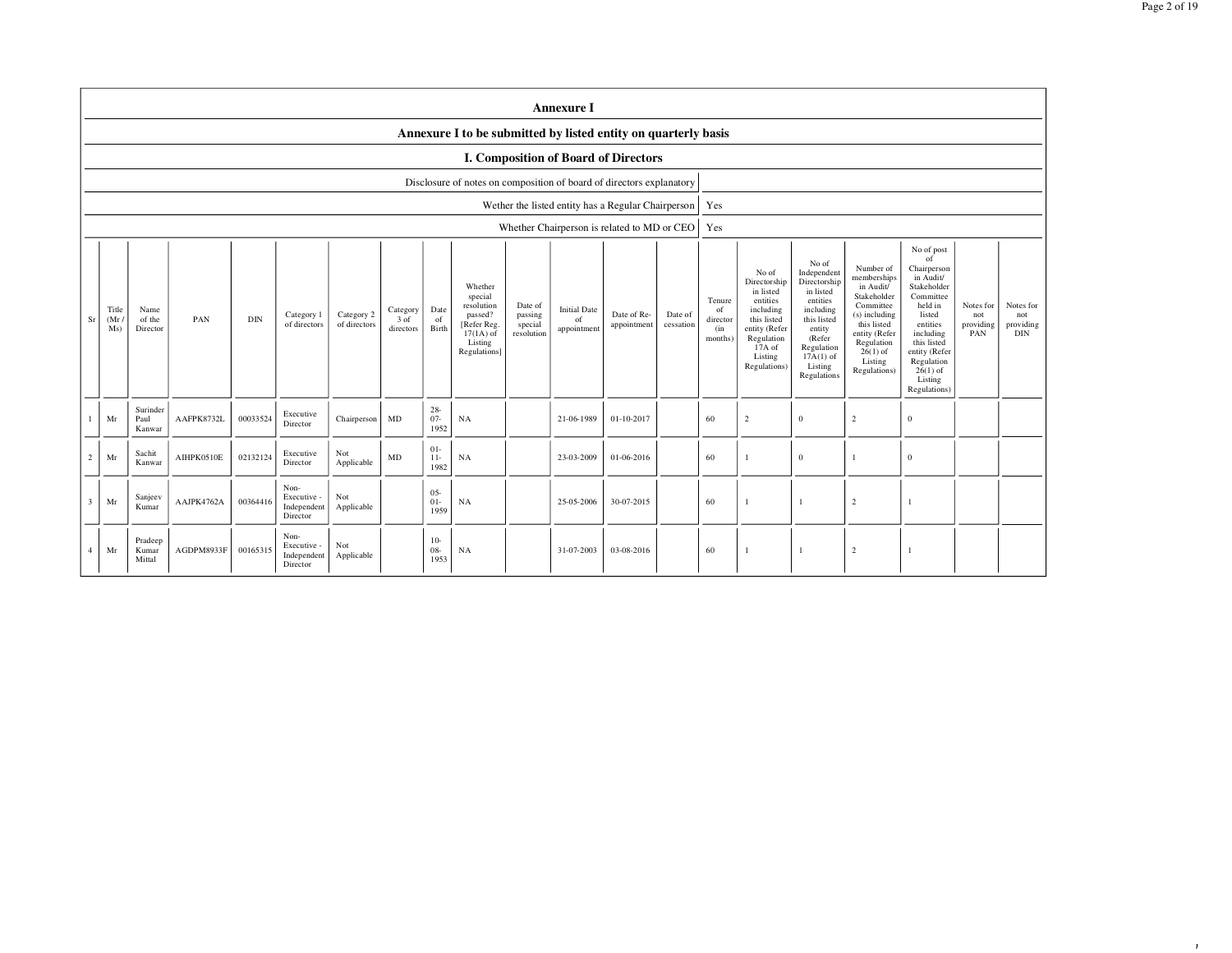08-Jan-20

|                |                      | <b>Annexure I</b>                                              |            |            |                                                |                            |                               |                          |                                                                                                      |                                             |                                          |                                                    |                      |                                                        |                                                                                                                                                |                                                                                                                                                                      |                                                                                                                                                                           |                                                                                                                                                                                                               |                                      |                                             |
|----------------|----------------------|----------------------------------------------------------------|------------|------------|------------------------------------------------|----------------------------|-------------------------------|--------------------------|------------------------------------------------------------------------------------------------------|---------------------------------------------|------------------------------------------|----------------------------------------------------|----------------------|--------------------------------------------------------|------------------------------------------------------------------------------------------------------------------------------------------------|----------------------------------------------------------------------------------------------------------------------------------------------------------------------|---------------------------------------------------------------------------------------------------------------------------------------------------------------------------|---------------------------------------------------------------------------------------------------------------------------------------------------------------------------------------------------------------|--------------------------------------|---------------------------------------------|
|                |                      | Annexure I to be submitted by listed entity on quarterly basis |            |            |                                                |                            |                               |                          |                                                                                                      |                                             |                                          |                                                    |                      |                                                        |                                                                                                                                                |                                                                                                                                                                      |                                                                                                                                                                           |                                                                                                                                                                                                               |                                      |                                             |
|                |                      | <b>I. Composition of Board of Directors</b>                    |            |            |                                                |                            |                               |                          |                                                                                                      |                                             |                                          |                                                    |                      |                                                        |                                                                                                                                                |                                                                                                                                                                      |                                                                                                                                                                           |                                                                                                                                                                                                               |                                      |                                             |
|                |                      |                                                                |            |            |                                                |                            |                               |                          | Disclosure of notes on composition of board of directors explanatory                                 |                                             |                                          |                                                    |                      |                                                        |                                                                                                                                                |                                                                                                                                                                      |                                                                                                                                                                           |                                                                                                                                                                                                               |                                      |                                             |
|                |                      |                                                                |            |            |                                                |                            |                               |                          |                                                                                                      |                                             |                                          | Wether the listed entity has a Regular Chairperson |                      | Yes                                                    |                                                                                                                                                |                                                                                                                                                                      |                                                                                                                                                                           |                                                                                                                                                                                                               |                                      |                                             |
|                |                      |                                                                |            |            |                                                |                            |                               |                          |                                                                                                      |                                             |                                          | Whether Chairperson is related to MD or CEO        |                      | Yes                                                    |                                                                                                                                                |                                                                                                                                                                      |                                                                                                                                                                           |                                                                                                                                                                                                               |                                      |                                             |
| Sr             | Title<br>(Mr)<br>Ms) | Name<br>of the<br>Director                                     | PAN        | <b>DIN</b> | Category 1<br>of directors                     | Category 2<br>of directors | Category<br>3 of<br>directors | Date<br>of<br>Birth      | Whether<br>special<br>resolution<br>passed?<br>[Refer Reg.<br>$17(1A)$ of<br>Listing<br>Regulations] | Date of<br>passing<br>special<br>resolution | <b>Initial Date</b><br>of<br>appointment | Date of Re-<br>appointment                         | Date of<br>cessation | Tenure<br><sup>of</sup><br>director<br>(in)<br>months) | No of<br>Directorship<br>in listed<br>entities<br>including<br>this listed<br>entity (Refer<br>Regulation<br>17A of<br>Listing<br>Regulations) | No of<br>Independent<br>Directorship<br>in listed<br>entities<br>including<br>this listed<br>entity<br>(Refer<br>Regulation<br>$17A(1)$ of<br>Listing<br>Regulations | Number of<br>memberships<br>in Audit/<br>Stakeholder<br>Committee<br>(s) including<br>this listed<br>entity (Refer<br>Regulation<br>$26(1)$ of<br>Listing<br>Regulations) | No of post<br>of<br>Chairperson<br>in Audit/<br>Stakeholder<br>Committee<br>held in<br>listed<br>entities<br>including<br>this listed<br>entity (Refer<br>Regulation<br>$26(1)$ of<br>Listing<br>Regulations) | Notes for<br>not<br>providing<br>PAN | Notes for<br>not<br>providing<br><b>DIN</b> |
|                | Mr                   | Surinder<br>Paul<br>Kanwar                                     | AAFPK8732L | 00033524   | Executive<br>Director                          | Chairperson                | MD                            | $28 -$<br>$07 -$<br>1952 | NA                                                                                                   |                                             | 21-06-1989                               | 01-10-2017                                         |                      | 60                                                     | $\overline{2}$                                                                                                                                 | $\mathbf{0}$                                                                                                                                                         | 2                                                                                                                                                                         | $\overline{0}$                                                                                                                                                                                                |                                      |                                             |
| 2              | Mr                   | Sachit<br>Kanwar                                               | AIHPK0510E | 02132124   | Executive<br>Director                          | Not<br>Applicable          | <b>MD</b>                     | $01 -$<br>$11-$<br>1982  | <b>NA</b>                                                                                            |                                             | 23-03-2009                               | 01-06-2016                                         |                      | 60                                                     |                                                                                                                                                | $\mathbf{0}$                                                                                                                                                         |                                                                                                                                                                           | $\overline{0}$                                                                                                                                                                                                |                                      |                                             |
| $\overline{3}$ | Mr                   | Sanjeev<br>Kumar                                               | AAJPK4762A | 00364416   | Non-<br>Executive -<br>Independent<br>Director | Not<br>Applicable          |                               | $05 -$<br>$01 -$<br>1959 | NA                                                                                                   |                                             | 25-05-2006                               | 30-07-2015                                         |                      | 60                                                     | $\overline{1}$                                                                                                                                 |                                                                                                                                                                      | $\overline{2}$                                                                                                                                                            | $\mathbf{1}$                                                                                                                                                                                                  |                                      |                                             |
| $\mathbf 4$    | Mr                   | Pradeep<br>Kumar<br>Mittal                                     | AGDPM8933F | 00165315   | Non-<br>Executive -<br>Independent<br>Director | Not<br>Applicable          |                               | $10-$<br>$08 -$<br>1953  | NA                                                                                                   |                                             | 31-07-2003                               | 03-08-2016                                         |                      | 60                                                     | -1                                                                                                                                             | $\overline{1}$                                                                                                                                                       | $\overline{2}$                                                                                                                                                            |                                                                                                                                                                                                               |                                      |                                             |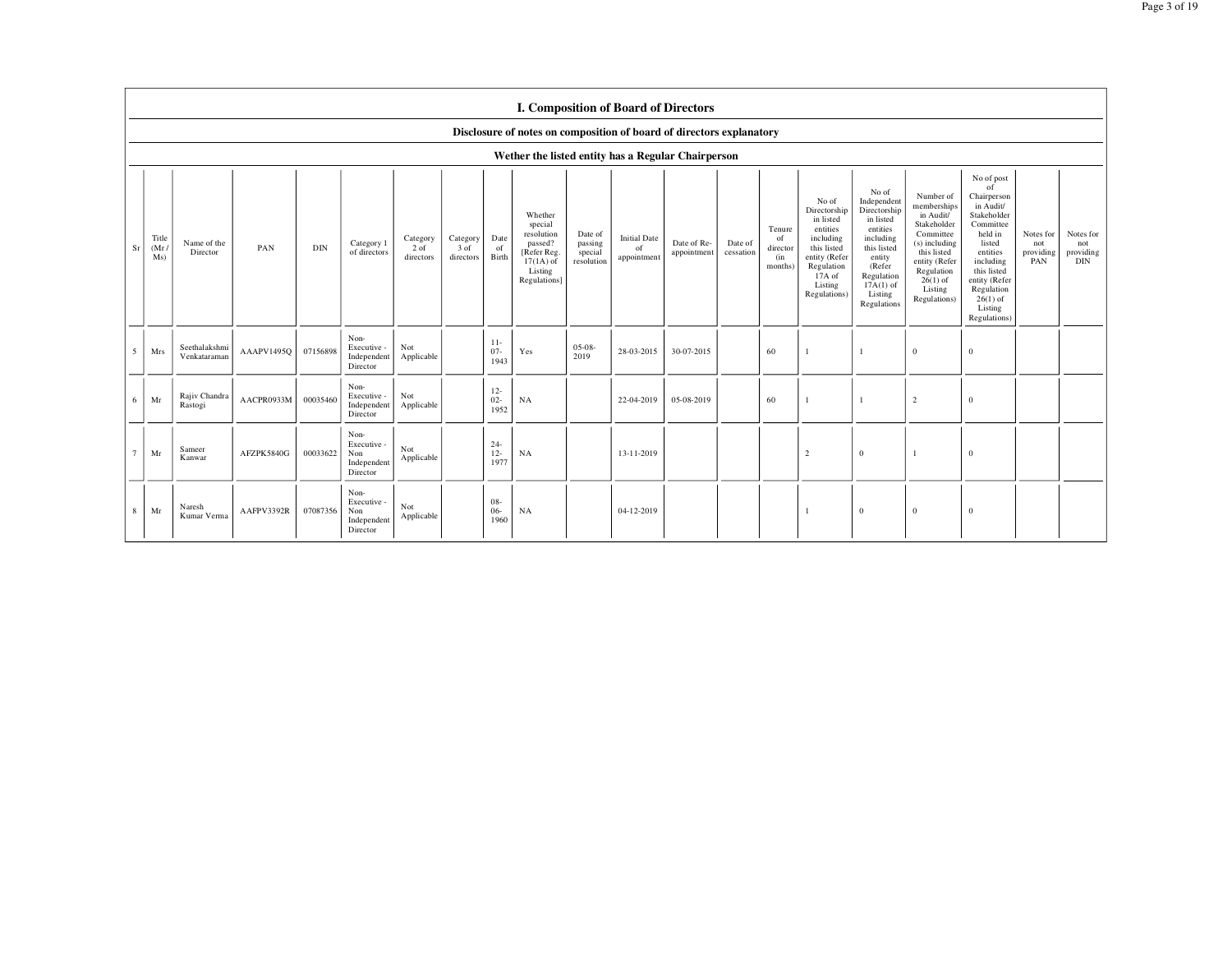|              | I. Composition of Board of Directors                                 |                               |            |            |                                                       |                               |                               |                          |                                                                                                      |                                             |                                          |                            |                      |                                            |                                                                                                                                                |                                                                                                                                                                      |                                                                                                                                                                           |                                                                                                                                                                                                               |                                      |                                             |
|--------------|----------------------------------------------------------------------|-------------------------------|------------|------------|-------------------------------------------------------|-------------------------------|-------------------------------|--------------------------|------------------------------------------------------------------------------------------------------|---------------------------------------------|------------------------------------------|----------------------------|----------------------|--------------------------------------------|------------------------------------------------------------------------------------------------------------------------------------------------|----------------------------------------------------------------------------------------------------------------------------------------------------------------------|---------------------------------------------------------------------------------------------------------------------------------------------------------------------------|---------------------------------------------------------------------------------------------------------------------------------------------------------------------------------------------------------------|--------------------------------------|---------------------------------------------|
|              | Disclosure of notes on composition of board of directors explanatory |                               |            |            |                                                       |                               |                               |                          |                                                                                                      |                                             |                                          |                            |                      |                                            |                                                                                                                                                |                                                                                                                                                                      |                                                                                                                                                                           |                                                                                                                                                                                                               |                                      |                                             |
|              |                                                                      |                               |            |            |                                                       |                               |                               |                          | Wether the listed entity has a Regular Chairperson                                                   |                                             |                                          |                            |                      |                                            |                                                                                                                                                |                                                                                                                                                                      |                                                                                                                                                                           |                                                                                                                                                                                                               |                                      |                                             |
| Sr           | Title<br>(Mr)<br>Ms)                                                 | Name of the<br>Director       | PAN        | <b>DIN</b> | Category 1<br>of directors                            | Category<br>2 of<br>directors | Category<br>3 of<br>directors | Date<br>of<br>Birth      | Whether<br>special<br>resolution<br>passed?<br>[Refer Reg.<br>$17(1A)$ of<br>Listing<br>Regulations] | Date of<br>passing<br>special<br>resolution | <b>Initial Date</b><br>of<br>appointment | Date of Re-<br>appointment | Date of<br>cessation | Tenure<br>of<br>director<br>(in<br>months) | No of<br>Directorship<br>in listed<br>entities<br>including<br>this listed<br>entity (Refer<br>Regulation<br>17A of<br>Listing<br>Regulations) | No of<br>Independent<br>Directorship<br>in listed<br>entities<br>including<br>this listed<br>entity<br>(Refer<br>Regulation<br>$17A(1)$ of<br>Listing<br>Regulations | Number of<br>memberships<br>in Audit/<br>Stakeholder<br>Committee<br>(s) including<br>this listed<br>entity (Refer<br>Regulation<br>$26(1)$ of<br>Listing<br>Regulations) | No of post<br>of<br>Chairperson<br>in Audit/<br>Stakeholder<br>Committee<br>held in<br>listed<br>entities<br>including<br>this listed<br>entity (Refer<br>Regulation<br>$26(1)$ of<br>Listing<br>Regulations) | Notes for<br>not<br>providing<br>PAN | Notes for<br>not<br>providing<br><b>DIN</b> |
| 5            | Mrs                                                                  | Seethalakshmi<br>Venkataraman | AAAPV1495Q | 07156898   | Non-<br>Executive -<br>Independent<br>Director        | Not<br>Applicable             |                               | $11-$<br>$07 -$<br>1943  | Yes                                                                                                  | $05-08-$<br>2019                            | 28-03-2015                               | 30-07-2015                 |                      | 60                                         |                                                                                                                                                | $\mathbf{1}$                                                                                                                                                         | $\mathbf{0}$                                                                                                                                                              | $\overline{0}$                                                                                                                                                                                                |                                      |                                             |
| 6            | Mr                                                                   | Rajiv Chandra<br>Rastogi      | AACPR0933M | 00035460   | Non-<br>Executive -<br>Independent<br>Director        | Not<br>Applicable             |                               | $12-$<br>$02 -$<br>1952  | NA                                                                                                   |                                             | 22-04-2019                               | 05-08-2019                 |                      | 60                                         |                                                                                                                                                |                                                                                                                                                                      | $\overline{2}$                                                                                                                                                            | $\overline{0}$                                                                                                                                                                                                |                                      |                                             |
| 7            | Mr                                                                   | Sameer<br>Kanwar              | AFZPK5840G | 00033622   | Non-<br>Executive -<br>Non<br>Independent<br>Director | Not<br>Applicable             |                               | $24 -$<br>$12 -$<br>1977 | <b>NA</b>                                                                                            |                                             | 13-11-2019                               |                            |                      |                                            | $\overline{c}$                                                                                                                                 | $\mathbf{0}$                                                                                                                                                         | $\mathbf{1}$                                                                                                                                                              | $\mathbf{0}$                                                                                                                                                                                                  |                                      |                                             |
| $\mathbf{8}$ | Mr                                                                   | Naresh<br>Kumar Verma         | AAFPV3392R | 07087356   | Non-<br>Executive -<br>Non<br>Independent<br>Director | Not<br>Applicable             |                               | $08 -$<br>$06 -$<br>1960 | NA                                                                                                   |                                             | 04-12-2019                               |                            |                      |                                            |                                                                                                                                                | $\mathbf{0}$                                                                                                                                                         | $\overline{0}$                                                                                                                                                            | $\overline{0}$                                                                                                                                                                                                |                                      |                                             |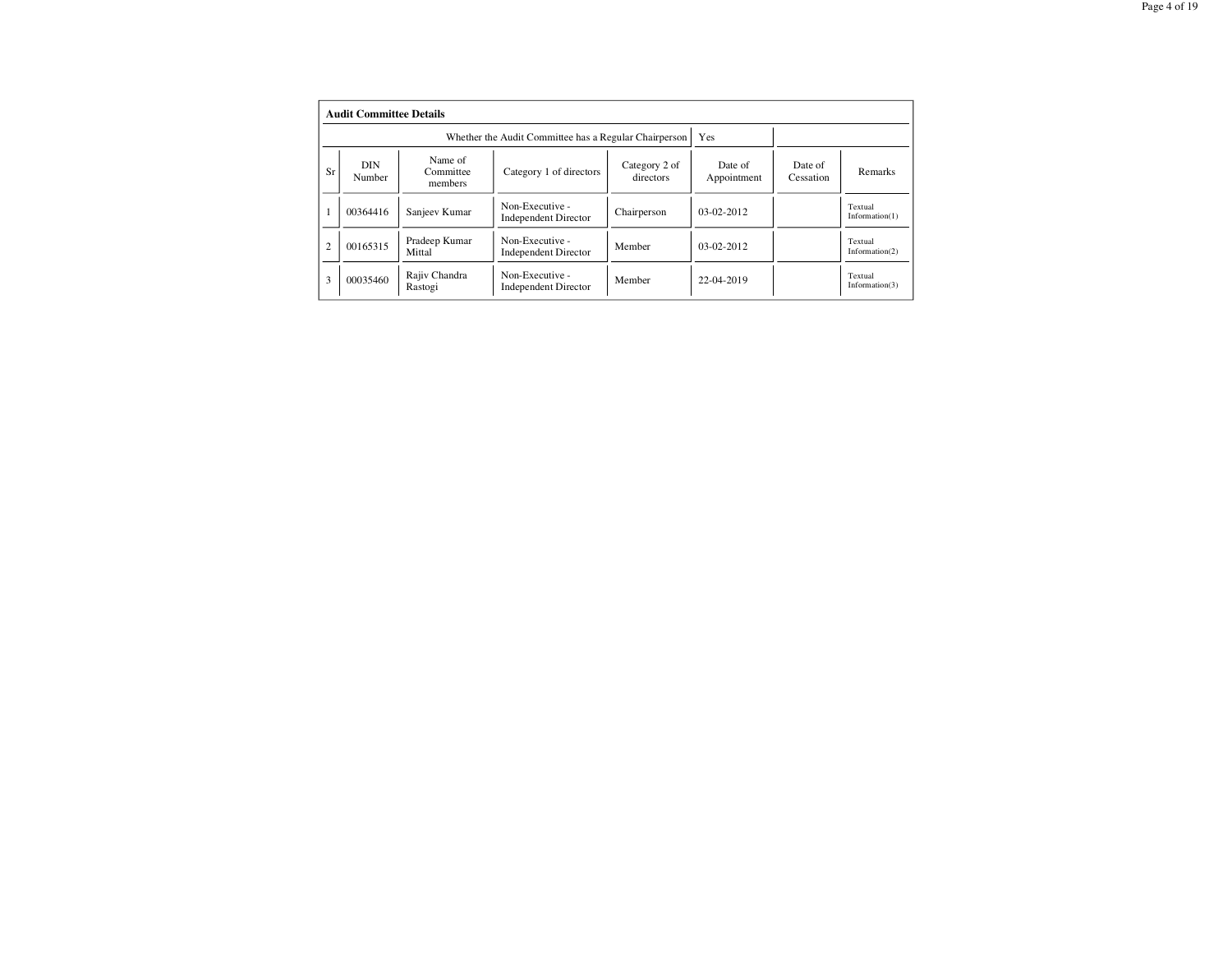|                | <b>Audit Committee Details</b> |                                 |                                                       |                            |                        |                      |                              |  |  |  |  |
|----------------|--------------------------------|---------------------------------|-------------------------------------------------------|----------------------------|------------------------|----------------------|------------------------------|--|--|--|--|
|                |                                |                                 | Whether the Audit Committee has a Regular Chairperson |                            | Yes                    |                      |                              |  |  |  |  |
| Sr             | DIN<br>Number                  | Name of<br>Committee<br>members | Category 1 of directors                               | Category 2 of<br>directors | Date of<br>Appointment | Date of<br>Cessation | Remarks                      |  |  |  |  |
|                | 00364416                       | Sanjeev Kumar                   | Non-Executive -<br><b>Independent Director</b>        | Chairperson                | $03-02-2012$           |                      | Textual<br>Information(1)    |  |  |  |  |
| $\overline{c}$ | 00165315                       | Pradeep Kumar<br>Mittal         | Non-Executive -<br><b>Independent Director</b>        | Member                     | $03-02-2012$           |                      | Textual<br>Information $(2)$ |  |  |  |  |
| 3              | 00035460                       | Rajiv Chandra<br>Rastogi        | Non-Executive -<br><b>Independent Director</b>        | Member                     | 22-04-2019             |                      | Textual<br>Information(3)    |  |  |  |  |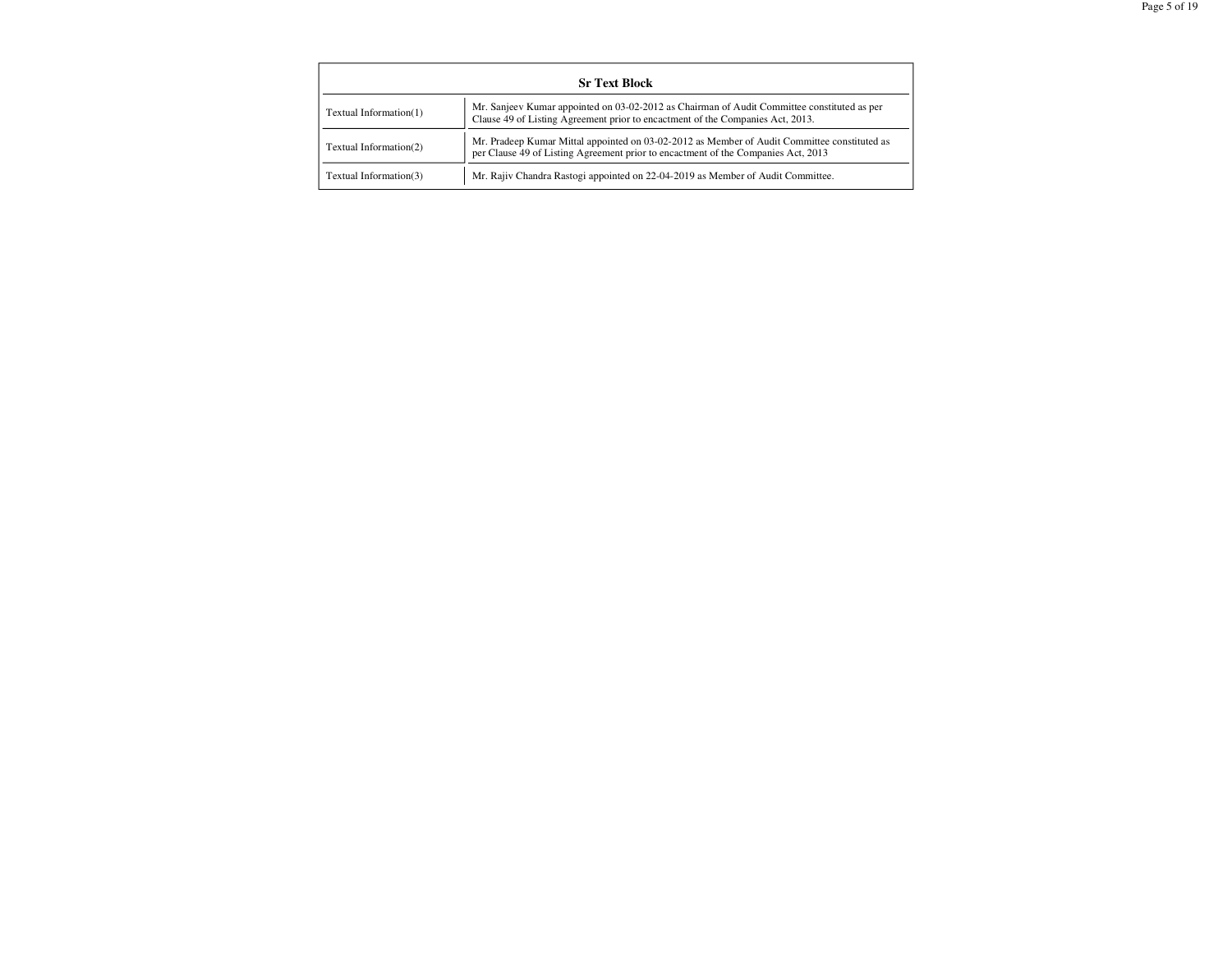| <b>Sr Text Block</b>   |                                                                                                                                                                                   |  |  |  |  |  |  |  |
|------------------------|-----------------------------------------------------------------------------------------------------------------------------------------------------------------------------------|--|--|--|--|--|--|--|
| Textual Information(1) | Mr. Sanjeev Kumar appointed on 03-02-2012 as Chairman of Audit Committee constituted as per<br>Clause 49 of Listing Agreement prior to encactment of the Companies Act, 2013.     |  |  |  |  |  |  |  |
| Textual Information(2) | Mr. Pradeep Kumar Mittal appointed on 03-02-2012 as Member of Audit Committee constituted as<br>per Clause 49 of Listing Agreement prior to encactment of the Companies Act, 2013 |  |  |  |  |  |  |  |
| Textual Information(3) | Mr. Rajiv Chandra Rastogi appointed on 22-04-2019 as Member of Audit Committee.                                                                                                   |  |  |  |  |  |  |  |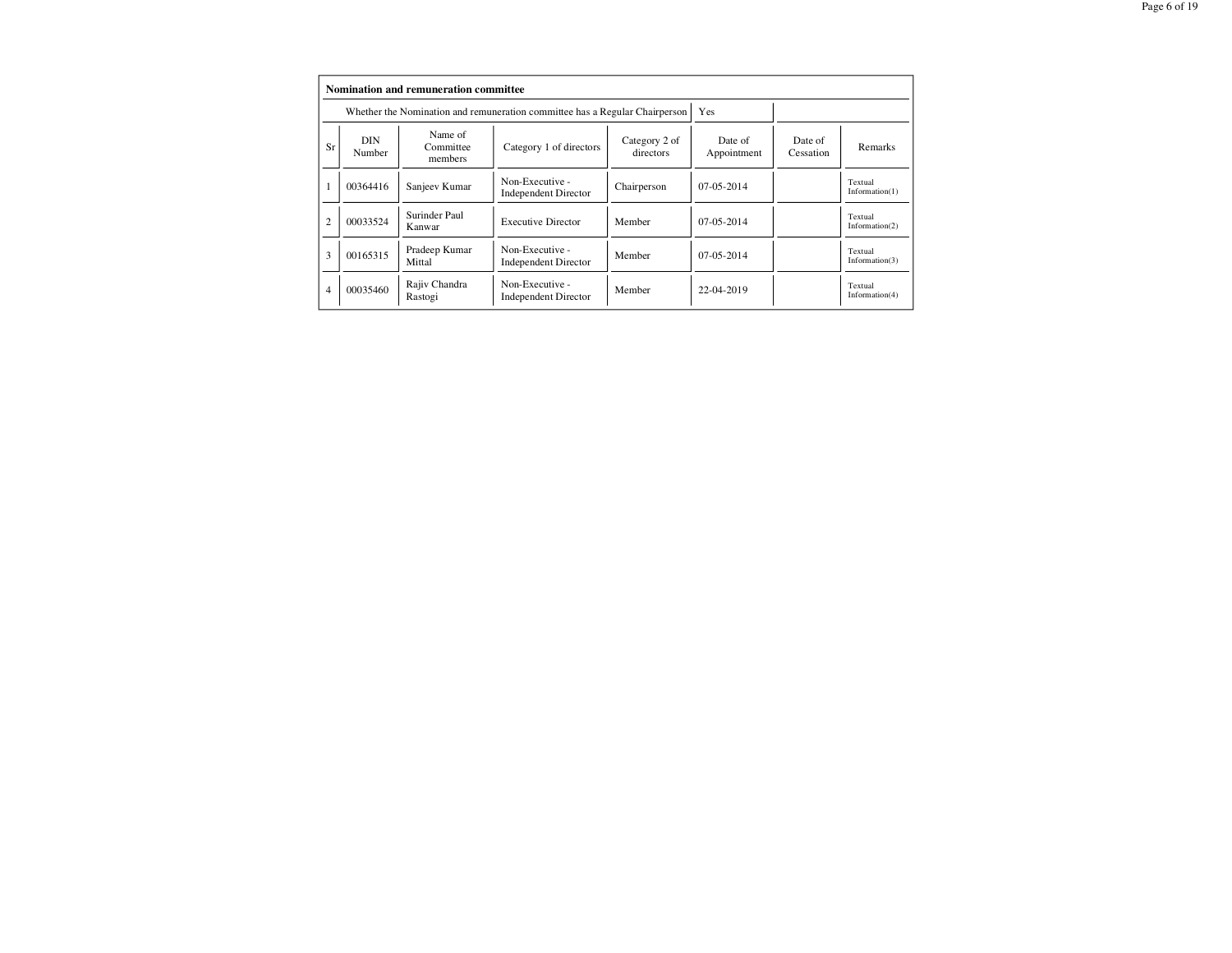|                | Nomination and remuneration committee                                                                          |                                 |                                                                             |                      |              |  |                              |  |  |  |  |  |
|----------------|----------------------------------------------------------------------------------------------------------------|---------------------------------|-----------------------------------------------------------------------------|----------------------|--------------|--|------------------------------|--|--|--|--|--|
|                |                                                                                                                |                                 | Whether the Nomination and remuneration committee has a Regular Chairperson |                      | <b>Yes</b>   |  |                              |  |  |  |  |  |
| Sr             | DIN<br>Number                                                                                                  | Name of<br>Committee<br>members | Date of<br>Appointment                                                      | Date of<br>Cessation | Remarks      |  |                              |  |  |  |  |  |
|                | 00364416                                                                                                       | Sanjeev Kumar                   | Non-Executive -<br><b>Independent Director</b>                              | Chairperson          | $07-05-2014$ |  | Textual<br>Information(1)    |  |  |  |  |  |
| $\overline{c}$ | 00033524                                                                                                       | Surinder Paul<br>Kanwar         | <b>Executive Director</b>                                                   | Member               | $07-05-2014$ |  | Textual<br>Information $(2)$ |  |  |  |  |  |
| 3              | 00165315                                                                                                       | Pradeep Kumar<br>Mittal         | Non-Executive -<br><b>Independent Director</b>                              | Member               | $07-05-2014$ |  | Textual<br>Information $(3)$ |  |  |  |  |  |
| 4              | Rajiv Chandra<br>Non-Executive -<br>00035460<br>Member<br>22-04-2019<br><b>Independent Director</b><br>Rastogi |                                 |                                                                             |                      |              |  | Textual<br>Information $(4)$ |  |  |  |  |  |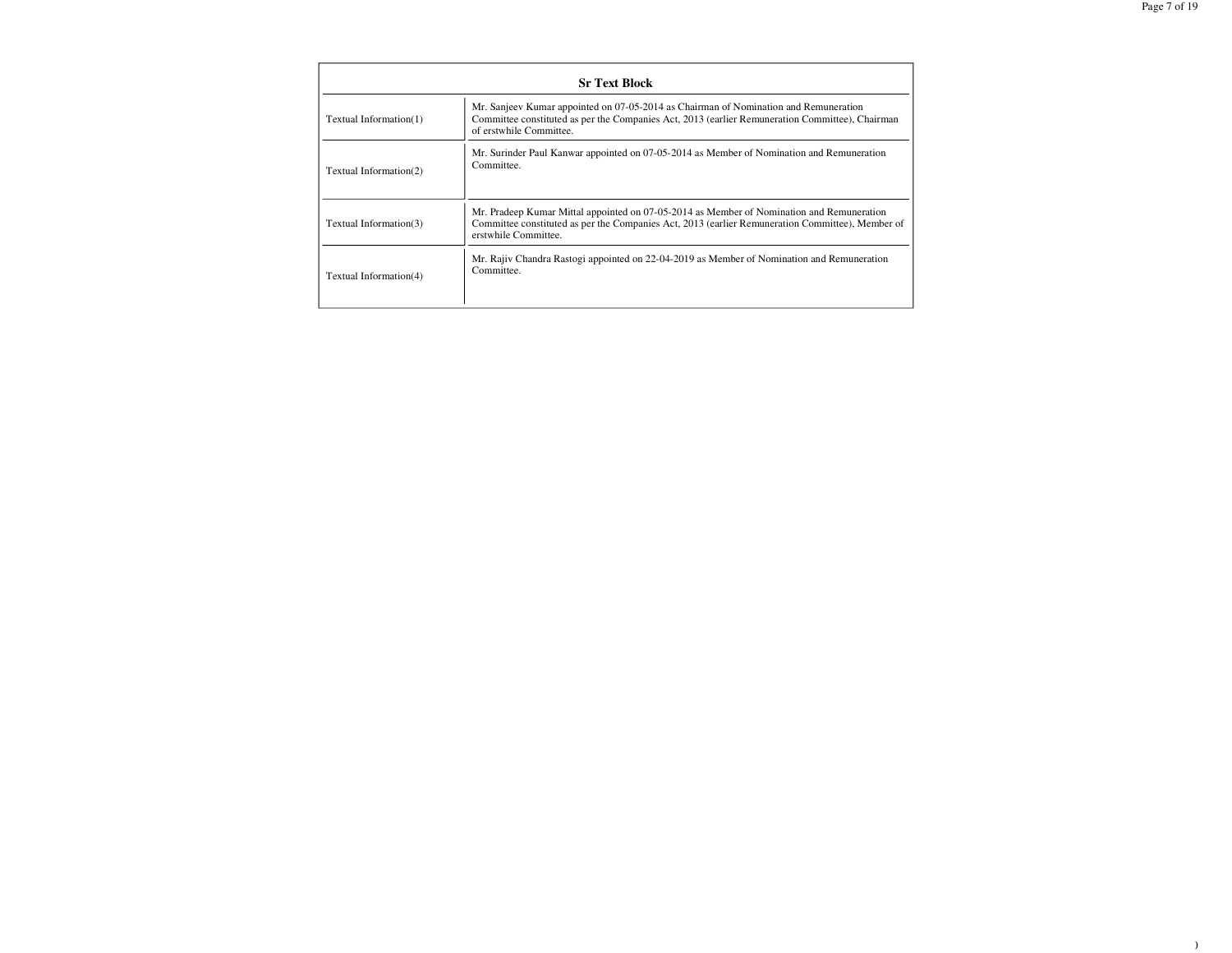$\overline{\phantom{a}}$ 

|                        | <b>Sr Text Block</b>                                                                                                                                                                                                  |
|------------------------|-----------------------------------------------------------------------------------------------------------------------------------------------------------------------------------------------------------------------|
| Textual Information(1) | Mr. Sanjeev Kumar appointed on 07-05-2014 as Chairman of Nomination and Remuneration<br>Committee constituted as per the Companies Act, 2013 (earlier Remuneration Committee), Chairman<br>of erstwhile Committee.    |
| Textual Information(2) | Mr. Surinder Paul Kanwar appointed on 07-05-2014 as Member of Nomination and Remuneration<br>Committee.                                                                                                               |
| Textual Information(3) | Mr. Pradeep Kumar Mittal appointed on 07-05-2014 as Member of Nomination and Remuneration<br>Committee constituted as per the Companies Act, 2013 (earlier Remuneration Committee), Member of<br>erstwhile Committee. |
| Textual Information(4) | Mr. Rajiv Chandra Rastogi appointed on 22-04-2019 as Member of Nomination and Remuneration<br>Committee.                                                                                                              |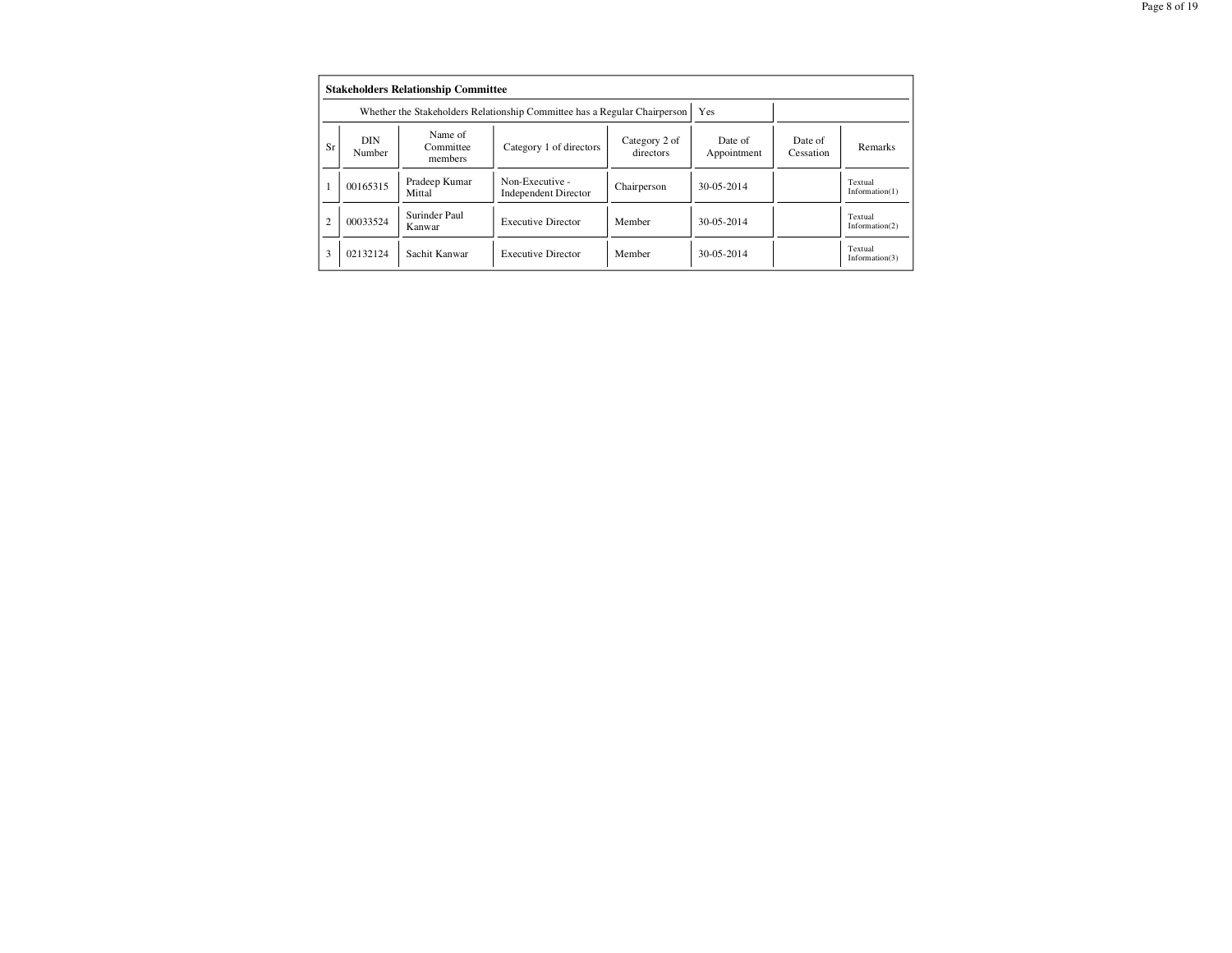|                | <b>Stakeholders Relationship Committee</b> |                                                                           |                                                |                      |            |  |                              |  |  |  |  |  |
|----------------|--------------------------------------------|---------------------------------------------------------------------------|------------------------------------------------|----------------------|------------|--|------------------------------|--|--|--|--|--|
|                |                                            | Whether the Stakeholders Relationship Committee has a Regular Chairperson | Yes                                            |                      |            |  |                              |  |  |  |  |  |
| Sr             | DIN<br>Number                              | Name of<br>Committee<br>members                                           | Date of<br>Appointment                         | Date of<br>Cessation | Remarks    |  |                              |  |  |  |  |  |
|                | 00165315                                   | Pradeep Kumar<br>Mittal                                                   | Non-Executive -<br><b>Independent Director</b> | Chairperson          | 30-05-2014 |  | Textual<br>Information $(1)$ |  |  |  |  |  |
| $\overline{c}$ | 00033524                                   | Surinder Paul<br>Kanwar                                                   | <b>Executive Director</b>                      | Member               | 30-05-2014 |  | Textual<br>Information $(2)$ |  |  |  |  |  |
| 3              | 02132124                                   | Sachit Kanwar                                                             | <b>Executive Director</b>                      | Member               | 30-05-2014 |  | Textual<br>Information $(3)$ |  |  |  |  |  |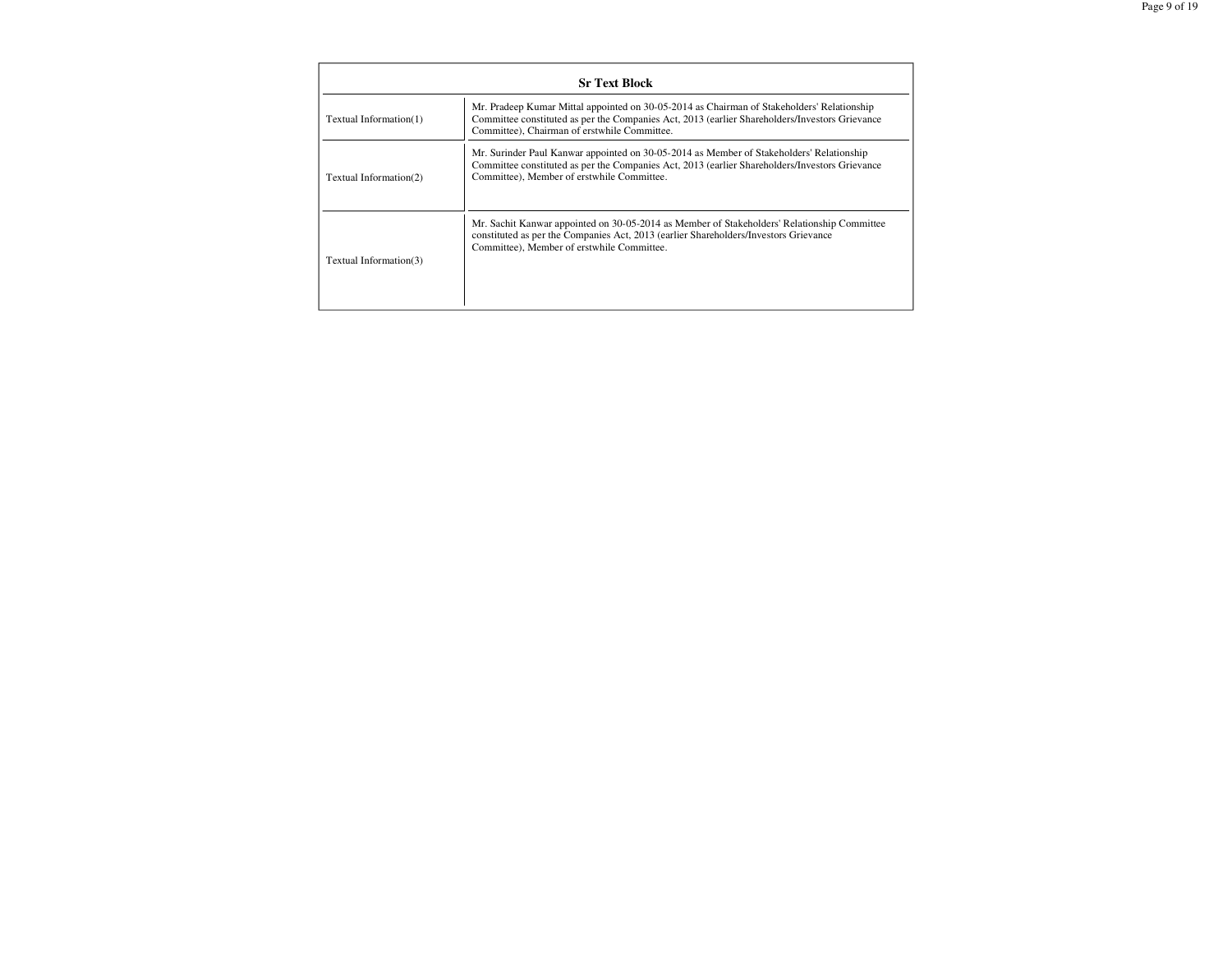|                        | <b>Sr Text Block</b>                                                                                                                                                                                                                         |
|------------------------|----------------------------------------------------------------------------------------------------------------------------------------------------------------------------------------------------------------------------------------------|
| Textual Information(1) | Mr. Pradeep Kumar Mittal appointed on 30-05-2014 as Chairman of Stakeholders' Relationship<br>Committee constituted as per the Companies Act, 2013 (earlier Shareholders/Investors Grievance<br>Committee), Chairman of erstwhile Committee. |
| Textual Information(2) | Mr. Surinder Paul Kanwar appointed on 30-05-2014 as Member of Stakeholders' Relationship<br>Committee constituted as per the Companies Act, 2013 (earlier Shareholders/Investors Grievance<br>Committee), Member of erstwhile Committee.     |
| Textual Information(3) | Mr. Sachit Kanwar appointed on 30-05-2014 as Member of Stakeholders' Relationship Committee<br>constituted as per the Companies Act, 2013 (earlier Shareholders/Investors Grievance<br>Committee), Member of erstwhile Committee.            |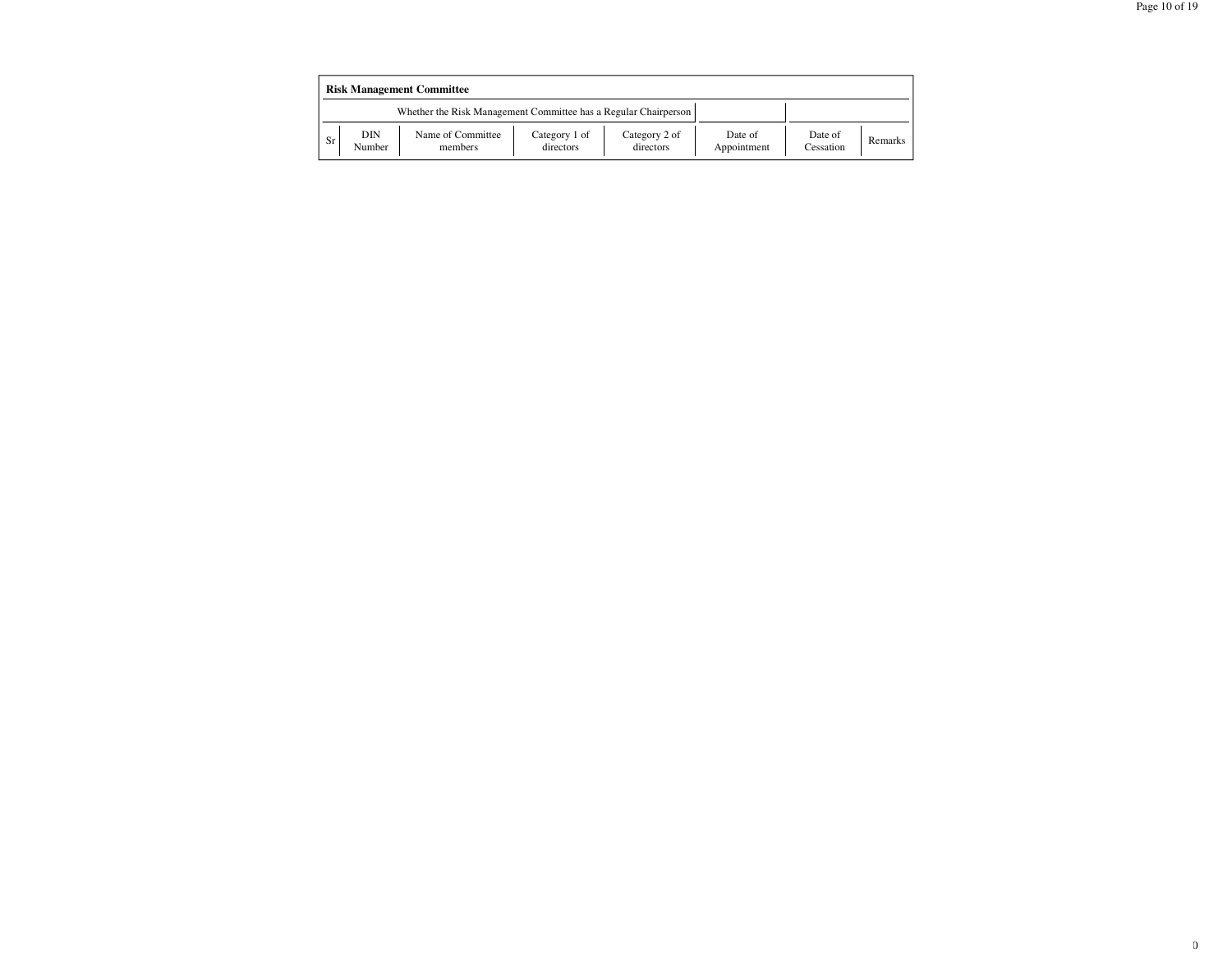|           | <b>Risk Management Committee</b> |                                                                 |                            |                            |                        |                      |         |  |  |  |  |
|-----------|----------------------------------|-----------------------------------------------------------------|----------------------------|----------------------------|------------------------|----------------------|---------|--|--|--|--|
|           |                                  | Whether the Risk Management Committee has a Regular Chairperson |                            |                            |                        |                      |         |  |  |  |  |
| <b>Sr</b> | DIN<br>Number                    | Name of Committee<br>members                                    | Category 1 of<br>directors | Category 2 of<br>directors | Date of<br>Appointment | Date of<br>Cessation | Remarks |  |  |  |  |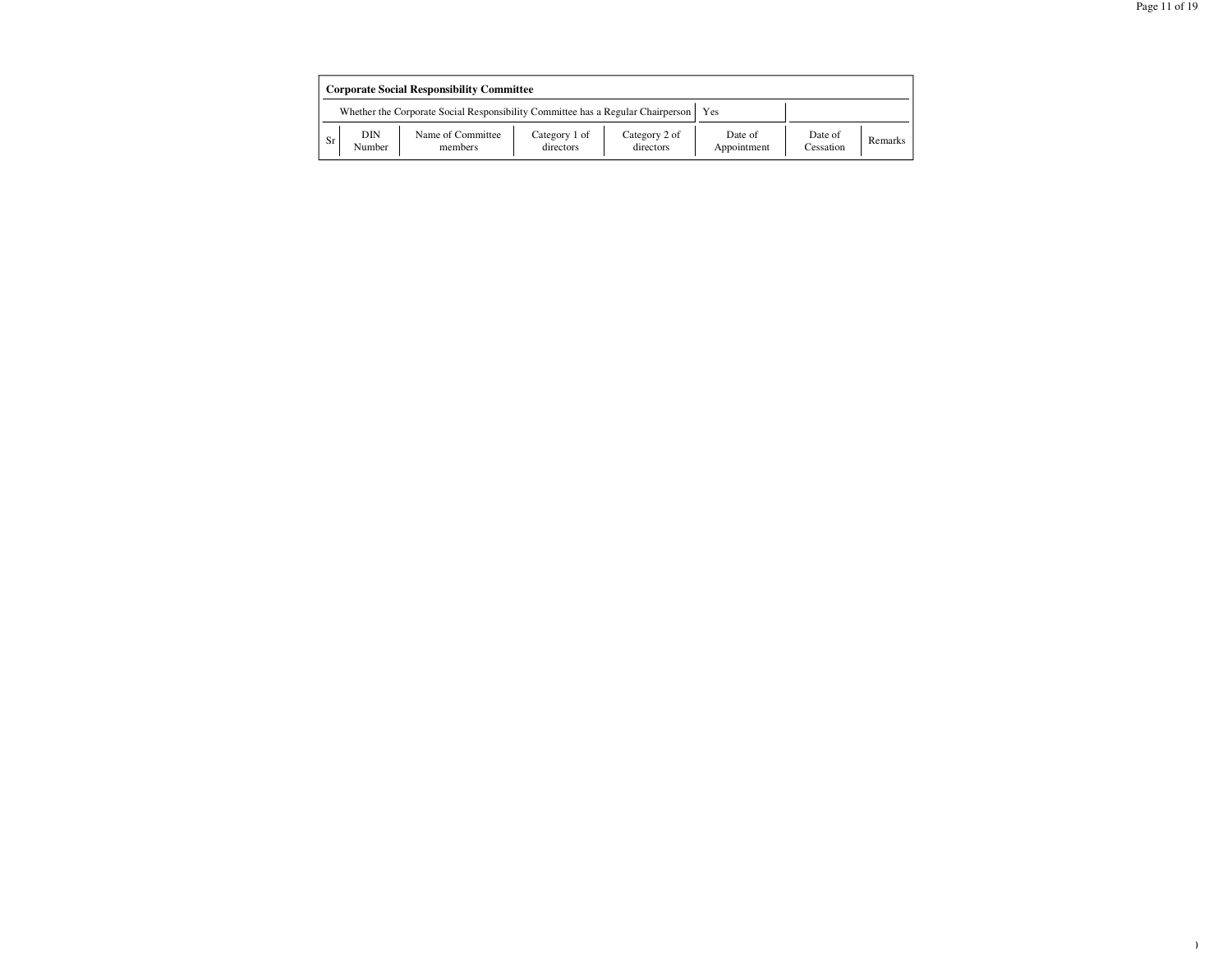|           | <b>Corporate Social Responsibility Committee</b>                                       |                              |                            |                            |                        |                      |         |  |  |
|-----------|----------------------------------------------------------------------------------------|------------------------------|----------------------------|----------------------------|------------------------|----------------------|---------|--|--|
|           | Whether the Corporate Social Responsibility Committee has a Regular Chairperson<br>Yes |                              |                            |                            |                        |                      |         |  |  |
| <b>Sr</b> | DIN<br>Number                                                                          | Name of Committee<br>members | Category 1 of<br>directors | Category 2 of<br>directors | Date of<br>Appointment | Date of<br>Cessation | Remarks |  |  |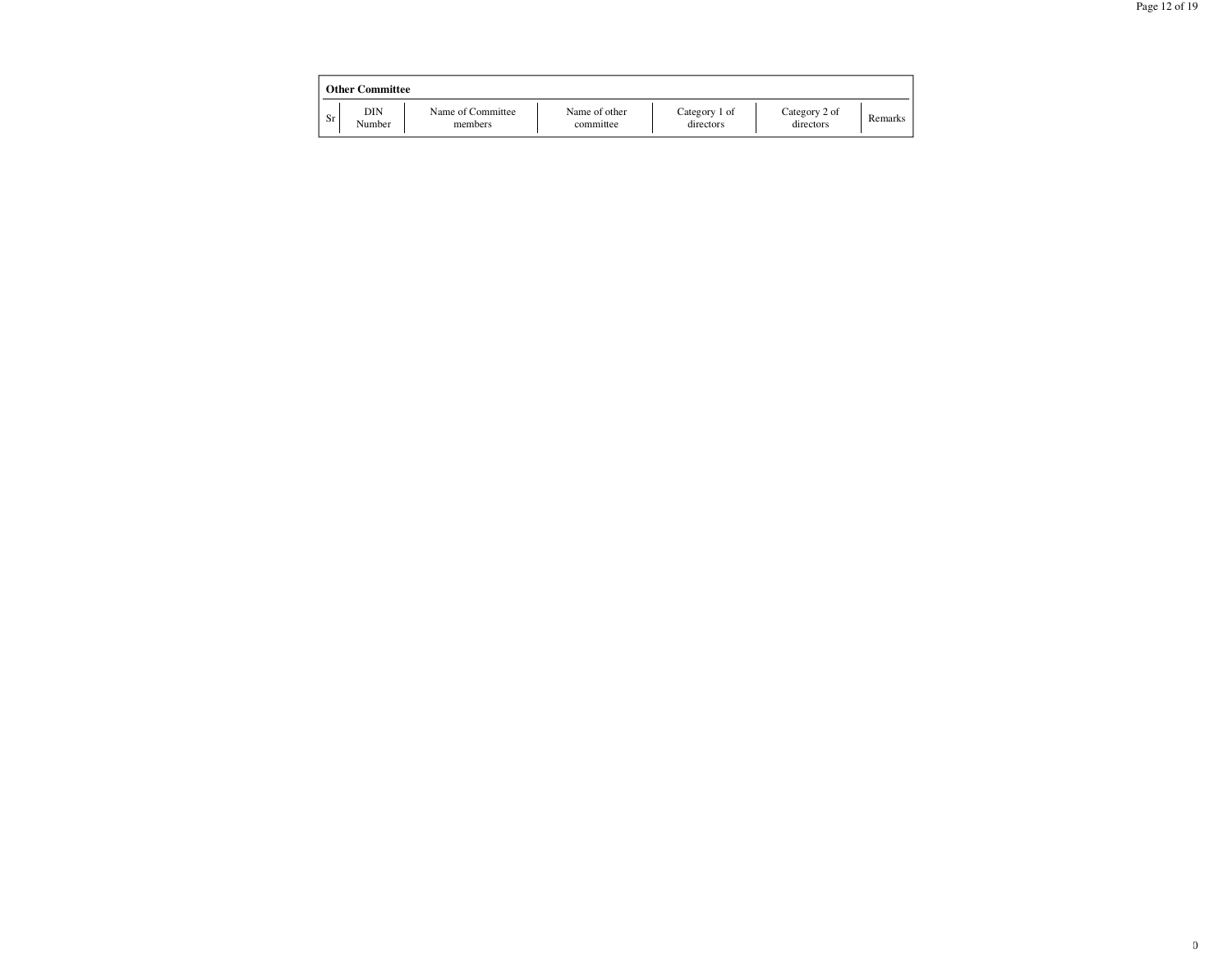|           | <b>Other Committee</b> |                              |                            |                            |                            |         |  |  |  |  |  |  |
|-----------|------------------------|------------------------------|----------------------------|----------------------------|----------------------------|---------|--|--|--|--|--|--|
| <b>Sr</b> | DIN<br>Number          | Name of Committee<br>members | Name of other<br>committee | Category 1 of<br>directors | Category 2 of<br>directors | Remarks |  |  |  |  |  |  |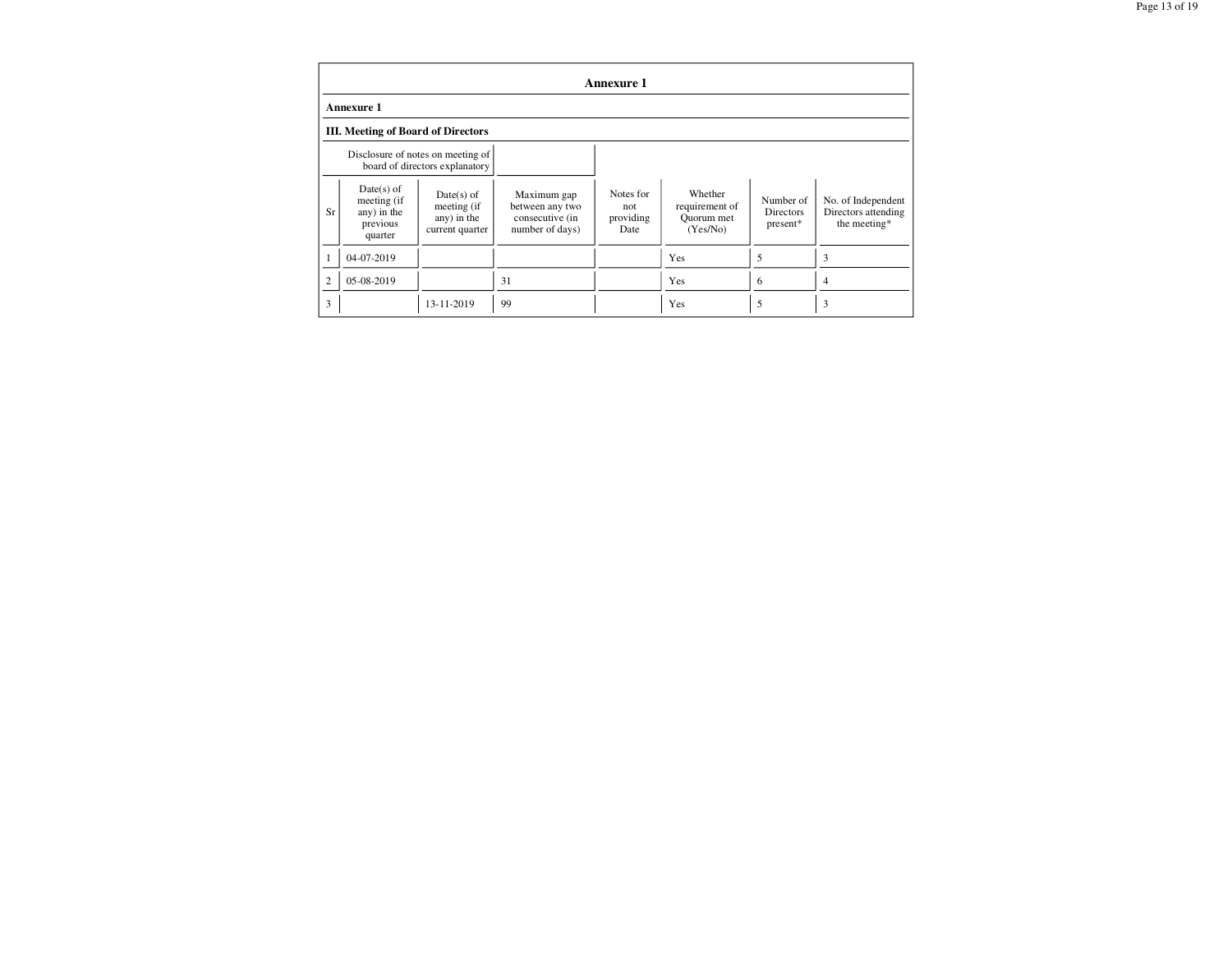|                | Annexure 1                                                          |                                                               |                                                                      |                                       |                                                     |                                    |                                                           |
|----------------|---------------------------------------------------------------------|---------------------------------------------------------------|----------------------------------------------------------------------|---------------------------------------|-----------------------------------------------------|------------------------------------|-----------------------------------------------------------|
|                | <b>Annexure 1</b>                                                   |                                                               |                                                                      |                                       |                                                     |                                    |                                                           |
|                | <b>III.</b> Meeting of Board of Directors                           |                                                               |                                                                      |                                       |                                                     |                                    |                                                           |
|                | Disclosure of notes on meeting of<br>board of directors explanatory |                                                               |                                                                      |                                       |                                                     |                                    |                                                           |
| Sr             | $Date(s)$ of<br>meeting (if<br>any) in the<br>previous<br>quarter   | $Date(s)$ of<br>meeting (if<br>any) in the<br>current quarter | Maximum gap<br>between any two<br>consecutive (in<br>number of days) | Notes for<br>not<br>providing<br>Date | Whether<br>requirement of<br>Quorum met<br>(Yes/No) | Number of<br>Directors<br>present* | No. of Independent<br>Directors attending<br>the meeting* |
| 1              | 04-07-2019                                                          |                                                               |                                                                      |                                       | Yes                                                 | 5                                  | 3                                                         |
| $\overline{2}$ | 05-08-2019                                                          |                                                               | 31                                                                   |                                       | Yes                                                 | 6                                  | 4                                                         |
| 3              |                                                                     | 13-11-2019                                                    | 99                                                                   |                                       | Yes                                                 | 5                                  | 3                                                         |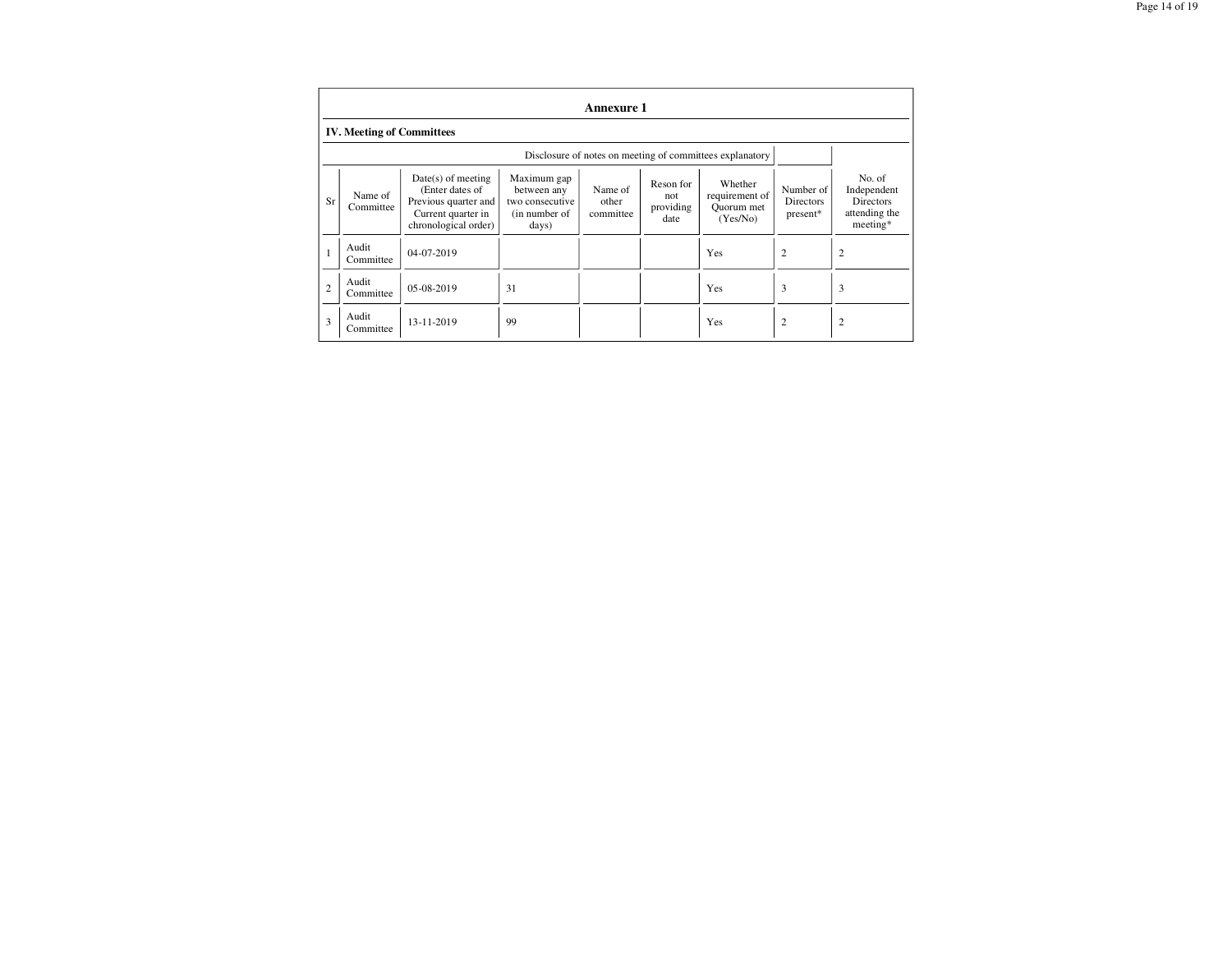|                | Annexure 1                                               |                                                                                                               |                                                                         |                               |                                       |                                                     |                                    |                                                                        |
|----------------|----------------------------------------------------------|---------------------------------------------------------------------------------------------------------------|-------------------------------------------------------------------------|-------------------------------|---------------------------------------|-----------------------------------------------------|------------------------------------|------------------------------------------------------------------------|
|                | <b>IV. Meeting of Committees</b>                         |                                                                                                               |                                                                         |                               |                                       |                                                     |                                    |                                                                        |
|                | Disclosure of notes on meeting of committees explanatory |                                                                                                               |                                                                         |                               |                                       |                                                     |                                    |                                                                        |
| Sr             | Name of<br>Committee                                     | $Date(s)$ of meeting<br>(Enter dates of<br>Previous quarter and<br>Current quarter in<br>chronological order) | Maximum gap<br>between any<br>two consecutive<br>(in number of<br>days) | Name of<br>other<br>committee | Reson for<br>not<br>providing<br>date | Whether<br>requirement of<br>Quorum met<br>(Yes/No) | Number of<br>Directors<br>present* | No. of<br>Independent<br><b>Directors</b><br>attending the<br>meeting* |
|                | Audit<br>Committee                                       | 04-07-2019                                                                                                    |                                                                         |                               |                                       | Yes                                                 | $\overline{2}$                     | $\overline{2}$                                                         |
| $\overline{2}$ | Audit<br>Committee                                       | 05-08-2019                                                                                                    | 31                                                                      |                               |                                       | Yes                                                 | 3                                  | 3                                                                      |
| 3              | Audit<br>Committee                                       | 13-11-2019                                                                                                    | 99                                                                      |                               |                                       | Yes                                                 | $\overline{2}$                     | 2                                                                      |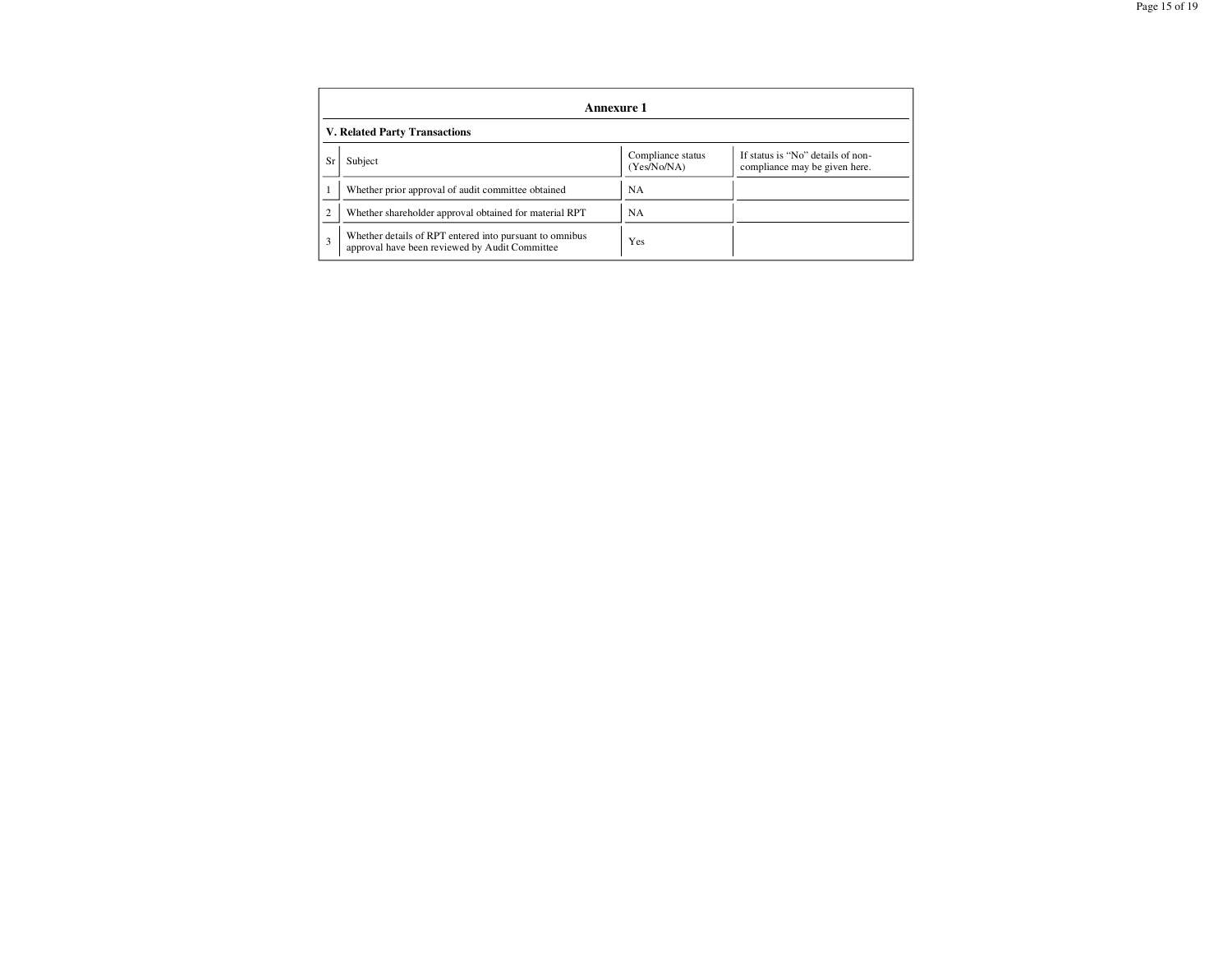| Annexure 1                    |                                                                                                           |                                  |                                                                    |  |
|-------------------------------|-----------------------------------------------------------------------------------------------------------|----------------------------------|--------------------------------------------------------------------|--|
| V. Related Party Transactions |                                                                                                           |                                  |                                                                    |  |
| Sr                            | Subject                                                                                                   | Compliance status<br>(Yes/No/NA) | If status is "No" details of non-<br>compliance may be given here. |  |
|                               | Whether prior approval of audit committee obtained                                                        | <b>NA</b>                        |                                                                    |  |
| $\overline{2}$                | Whether shareholder approval obtained for material RPT                                                    | NA.                              |                                                                    |  |
| 3                             | Whether details of RPT entered into pursuant to omnibus<br>approval have been reviewed by Audit Committee | Yes                              |                                                                    |  |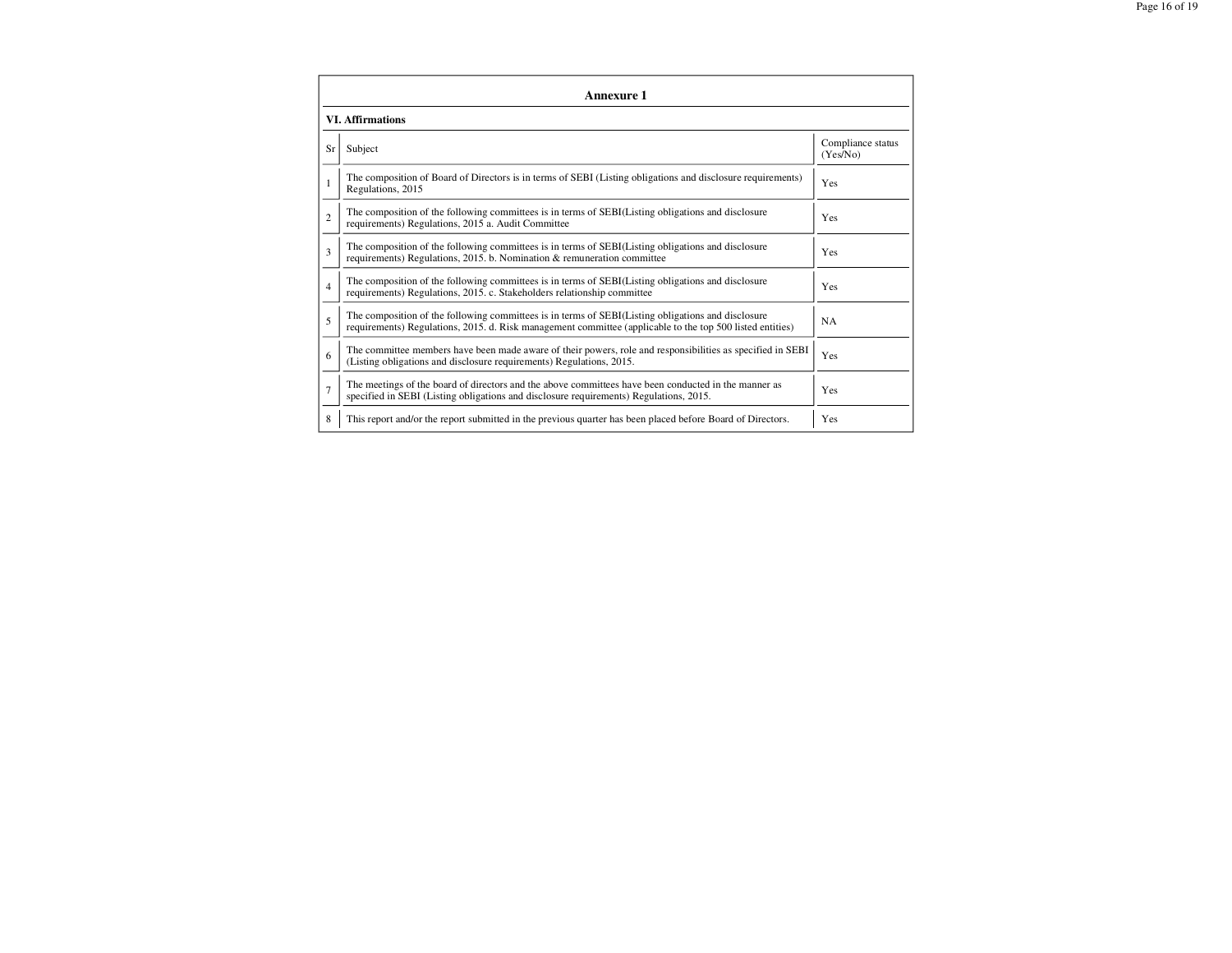| Annexure 1              |                                                                                                                                                                                                                 |                               |  |  |  |
|-------------------------|-----------------------------------------------------------------------------------------------------------------------------------------------------------------------------------------------------------------|-------------------------------|--|--|--|
| <b>VI. Affirmations</b> |                                                                                                                                                                                                                 |                               |  |  |  |
| Sr                      | Subject                                                                                                                                                                                                         | Compliance status<br>(Yes/No) |  |  |  |
| 1                       | The composition of Board of Directors is in terms of SEBI (Listing obligations and disclosure requirements)<br>Regulations, 2015                                                                                | Yes                           |  |  |  |
| $\mathfrak{D}$          | The composition of the following committees is in terms of SEBI(Listing obligations and disclosure<br>requirements) Regulations, 2015 a. Audit Committee                                                        | Yes                           |  |  |  |
| 3                       | The composition of the following committees is in terms of SEBI(Listing obligations and disclosure<br>requirements) Regulations, 2015. b. Nomination & remuneration committee                                   | Yes                           |  |  |  |
| $\overline{4}$          | The composition of the following committees is in terms of SEBI(Listing obligations and disclosure<br>requirements) Regulations, 2015. c. Stakeholders relationship committee                                   | Yes                           |  |  |  |
| 5                       | The composition of the following committees is in terms of SEBI(Listing obligations and disclosure<br>requirements) Regulations, 2015. d. Risk management committee (applicable to the top 500 listed entities) | <b>NA</b>                     |  |  |  |
| 6                       | The committee members have been made aware of their powers, role and responsibilities as specified in SEBI<br>(Listing obligations and disclosure requirements) Regulations, 2015.                              | Yes                           |  |  |  |
| $\overline{7}$          | The meetings of the board of directors and the above committees have been conducted in the manner as<br>specified in SEBI (Listing obligations and disclosure requirements) Regulations, 2015.                  | Yes                           |  |  |  |
| 8                       | This report and/or the report submitted in the previous quarter has been placed before Board of Directors.                                                                                                      | Yes                           |  |  |  |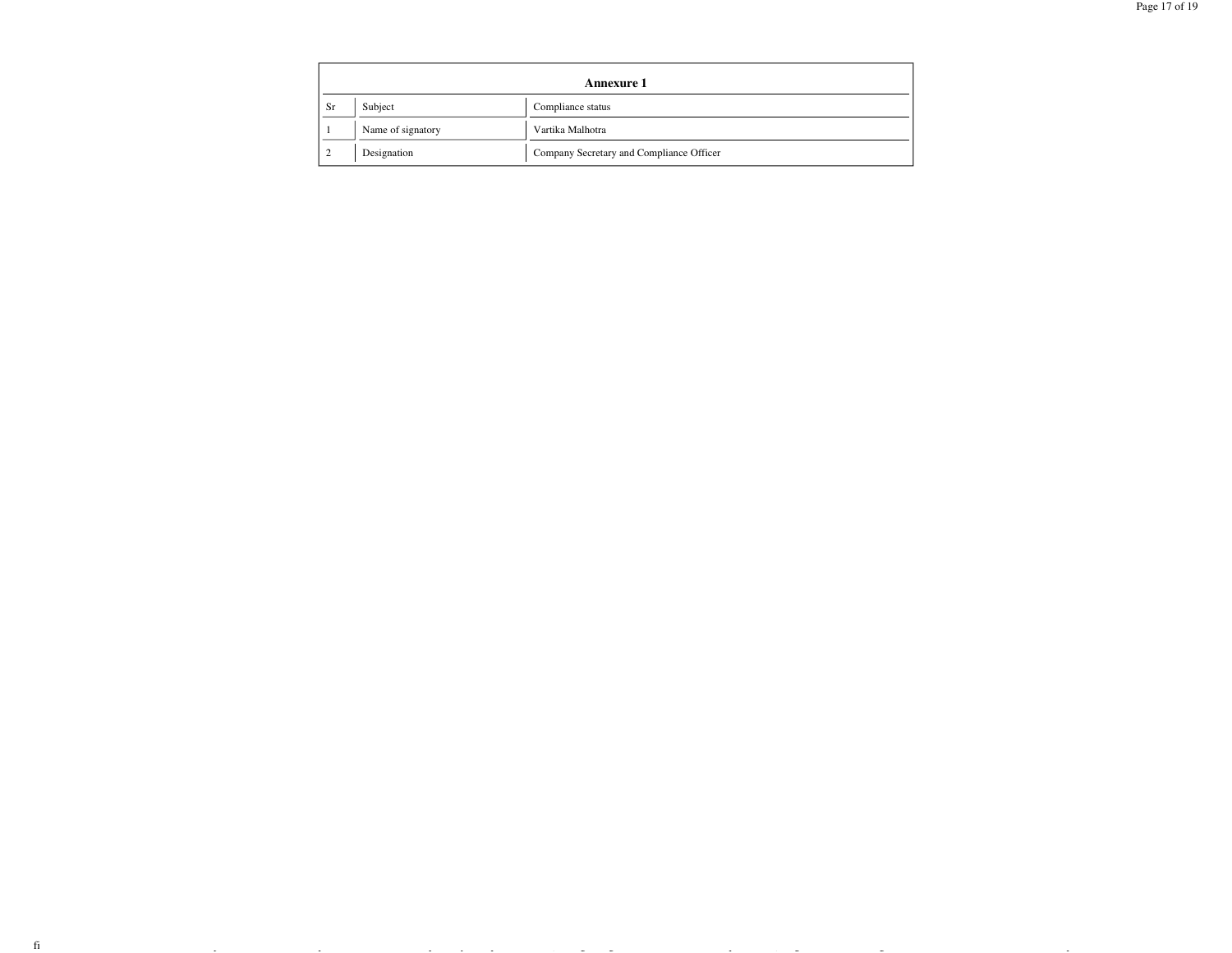|           | <b>Annexure 1</b> |                                          |  |  |  |
|-----------|-------------------|------------------------------------------|--|--|--|
| <b>Sr</b> | Subject           | Compliance status                        |  |  |  |
|           | Name of signatory | Vartika Malhotra                         |  |  |  |
|           | Designation       | Company Secretary and Compliance Officer |  |  |  |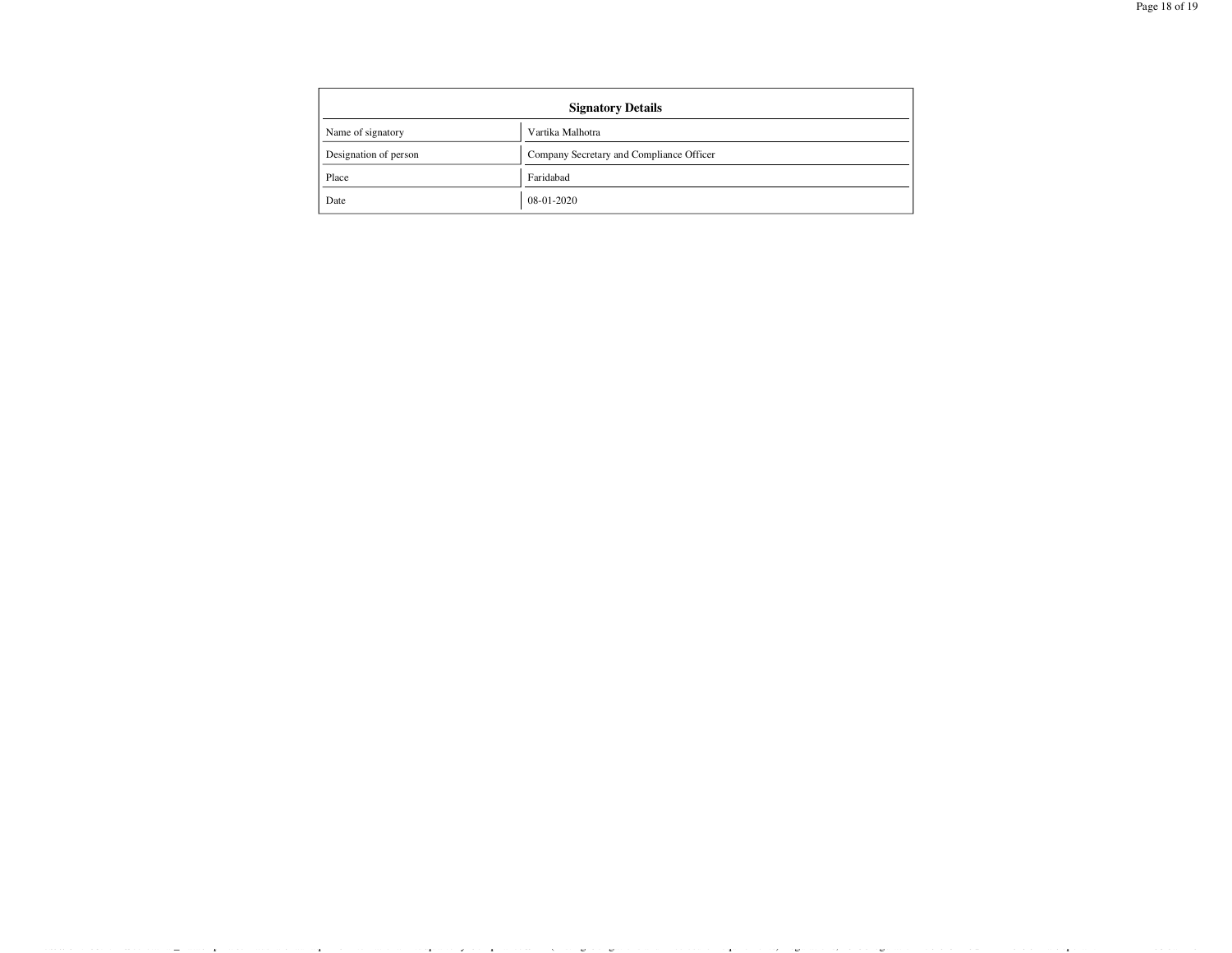| <b>Signatory Details</b> |                                          |  |
|--------------------------|------------------------------------------|--|
| Name of signatory        | Vartika Malhotra                         |  |
| Designation of person    | Company Secretary and Compliance Officer |  |
| Place                    | Faridabad                                |  |
| Date                     | 08-01-2020                               |  |

file://\\192.168.1.11\Secretarial\_Data\Lipika & Kaushal\Raunaq EPC International Ltd\quarterly Compliance\SEBI(Listing Obligations and Disclosure Requirements) Regulations, 2015\Regulation 27\2019- 20\31-12-2019\Final\report.html